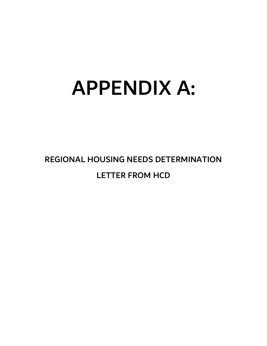# APPENDIX A:

REGIONAL HOUSING NEEDS DETERMINATION LETTER FROM HCD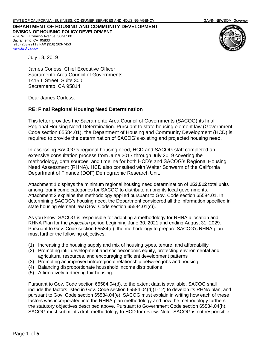**DEPARTMENT OF HOUSING AND COMMUNITY DEVELOPMENT DIVISION OF HOUSING POLICY DEVELOPMENT** 2020 W. El Camino Avenue, Suite 500 Sacramento, CA 95833 (916) 263-2911 / FAX (916) 263-7453



July 18, 2019

*[www.hcd.ca.gov](http://www.hcd.ca.gov/)*

James Corless, Chief Executive Officer Sacramento Area Council of Governments 1415 L Street, Suite 300 Sacramento, CA 95814

Dear James Corless:

## **RE: Final Regional Housing Need Determination**

This letter provides the Sacramento Area Council of Governments (SACOG) its final Regional Housing Need Determination. Pursuant to state housing element law (Government Code section 65584.01), the Department of Housing and Community Development (HCD) is required to provide the determination of SACOG's existing and projected housing need.

In assessing SACOG's regional housing need, HCD and SACOG staff completed an extensive consultation process from June 2017 through July 2019 covering the methodology, data sources, and timeline for both HCD's and SACOG's Regional Housing Need Assessment (RHNA). HCD also consulted with Walter Schwarm of the California Department of Finance (DOF) Demographic Research Unit.

Attachment 1 displays the minimum regional housing need determination of **153,512** total units among four income categories for SACOG to distribute among its local governments. Attachment 2 explains the methodology applied pursuant to Gov. Code section 65584.01. In determining SACOG's housing need, the Department considered all the information specified in state housing element law (Gov. Code section 65584.01(c)).

As you know, SACOG is responsible for adopting a methodology for RHNA allocation and RHNA Plan for the *projection* period beginning June 30, 2021 and ending August 31, 2029. Pursuant to Gov. Code section 65584(d), the methodology to prepare SACOG's RHNA plan must further the following objectives:

- (1) Increasing the housing supply and mix of housing types, tenure, and affordability
- (2) Promoting infill development and socioeconomic equity, protecting environmental and agricultural resources, and encouraging efficient development patterns
- (3) Promoting an improved intraregional relationship between jobs and housing
- (4) Balancing disproportionate household income distributions
- (5) Affirmatively furthering fair housing.

Pursuant to Gov. Code section 65584.04(d), to the extent data is available, SACOG shall include the factors listed in Gov. Code section 65584.04(d)(1-12) to develop its RHNA plan, and pursuant to Gov. Code section 65584.04(e), SACOG must explain in writing how each of these factors was incorporated into the RHNA plan methodology and how the methodology furthers the statutory objectives described above. Pursuant to Government Code section 65584.04(h), SACOG must submit its draft methodology to HCD for review. Note: SACOG is not responsible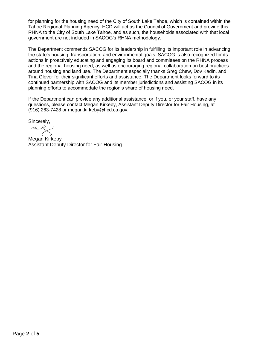for planning for the housing need of the City of South Lake Tahoe, which is contained within the Tahoe Regional Planning Agency. HCD will act as the Council of Government and provide this RHNA to the City of South Lake Tahoe, and as such, the households associated with that local government are not included in SACOG's RHNA methodology.

The Department commends SACOG for its leadership in fulfilling its important role in advancing the state's housing, transportation, and environmental goals. SACOG is also recognized for its actions in proactively educating and engaging its board and committees on the RHNA process and the regional housing need, as well as encouraging regional collaboration on best practices around housing and land use. The Department especially thanks Greg Chew, Dov Kadin, and Tina Glover for their significant efforts and assistance. The Department looks forward to its continued partnership with SACOG and its member jurisdictions and assisting SACOG in its planning efforts to accommodate the region's share of housing need.

If the Department can provide any additional assistance, or if you, or your staff, have any questions, please contact Megan Kirkeby, Assistant Deputy Director for Fair Housing, at (916) 263-7428 or megan.kirkeby@hcd.ca.gov.

Sincerely,

 $2Q$ 

Megan Kirkeby Assistant Deputy Director for Fair Housing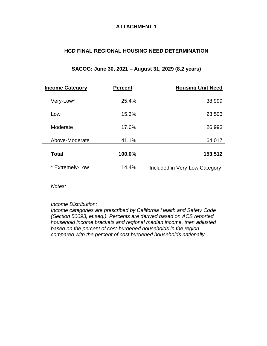# **ATTACHMENT 1**

# **HCD FINAL REGIONAL HOUSING NEED DETERMINATION**

# **SACOG: June 30, 2021 – August 31, 2029 (8.2 years)**

| <b>Income Category</b> | <b>Percent</b> | <b>Housing Unit Need</b>      |
|------------------------|----------------|-------------------------------|
| Very-Low*              | 25.4%          | 38,999                        |
| Low                    | 15.3%          | 23,503                        |
| Moderate               | 17.6%          | 26,993                        |
| Above-Moderate         | 41.1%          | 64,017                        |
| <b>Total</b>           | 100.0%         | 153,512                       |
| * Extremely-Low        | 14.4%          | Included in Very-Low Category |

*Notes:*

## *Income Distribution:*

*Income categories are prescribed by California Health and Safety Code (Section 50093, et.seq.). Percents are derived based on ACS reported household income brackets and regional median income, then adjusted based on the percent of cost-burdened households in the region compared with the percent of cost burdened households nationally.*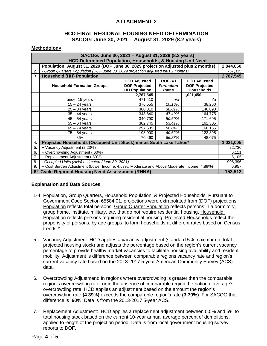# **ATTACHMENT 2**

## **HCD FINAL REGIONAL HOUSING NEED DETERMINATION SACOG: June 30, 2021 – August 31, 2029 (8.2 years)**

#### **Methodology**

| SACOG: June 30, 2021 - August 31, 2029 (8.2 years)<br><b>HCD Determined Population, Households, &amp; Housing Unit Need</b> |                                                                                           |                                                                     |                                            |                                                                  |  |  |  |
|-----------------------------------------------------------------------------------------------------------------------------|-------------------------------------------------------------------------------------------|---------------------------------------------------------------------|--------------------------------------------|------------------------------------------------------------------|--|--|--|
| 1.                                                                                                                          | Population: August 31, 2029 (DOF June 30, 2029 projection adjusted plus 2 months)         |                                                                     |                                            |                                                                  |  |  |  |
| 2.                                                                                                                          | - Group Quarters Population (DOF June 30, 2029 projection adjusted plus 2 months)         |                                                                     |                                            |                                                                  |  |  |  |
| 3.                                                                                                                          | <b>Household (HH) Population</b>                                                          |                                                                     |                                            |                                                                  |  |  |  |
|                                                                                                                             | <b>Household Formation Groups</b>                                                         | <b>HCD Adjusted</b><br><b>DOF Projected</b><br><b>HH Population</b> | <b>DOF HH</b><br><b>Formation</b><br>Rates | <b>HCD Adjusted</b><br><b>DOF Projected</b><br><b>Households</b> |  |  |  |
|                                                                                                                             |                                                                                           | 2,787,545                                                           |                                            | 1,021,450                                                        |  |  |  |
|                                                                                                                             | under 15 years                                                                            | 471,410                                                             | n/a                                        | n/a                                                              |  |  |  |
|                                                                                                                             | $15 - 24$ years                                                                           | 376,555                                                             | 10.16%                                     | 38,260                                                           |  |  |  |
|                                                                                                                             | $25 - 34$ years                                                                           | 380,310                                                             | 38.01%                                     | 146,090                                                          |  |  |  |
|                                                                                                                             | $35 - 44$ years                                                                           | 348,840                                                             | 47.49%                                     | 164,775                                                          |  |  |  |
|                                                                                                                             | $45 - 54$ years                                                                           | 340,790                                                             | 50.60%                                     | 171,695                                                          |  |  |  |
|                                                                                                                             | $55 - 64$ years                                                                           | 302,745                                                             | 53.41%                                     | 161,505                                                          |  |  |  |
|                                                                                                                             | $65 - 74$ years                                                                           | 297,535                                                             | 56.04%                                     | 168,155                                                          |  |  |  |
|                                                                                                                             | 75 – 84 years                                                                             | 198,900                                                             | 60.62%                                     | 122,895                                                          |  |  |  |
|                                                                                                                             | $85+$                                                                                     | 70,460                                                              | 66.88%                                     | 48,075                                                           |  |  |  |
| 4.                                                                                                                          | Projected Households (Occupied Unit Stock) minus South Lake Tahoe*                        |                                                                     |                                            |                                                                  |  |  |  |
| 5.                                                                                                                          | + Vacancy Adjustment (2.23%)                                                              |                                                                     |                                            |                                                                  |  |  |  |
| 6.                                                                                                                          | + Overcrowding Adjustment (.60%)                                                          |                                                                     |                                            |                                                                  |  |  |  |
| 7.                                                                                                                          | + Replacement Adjustment (.50%)                                                           |                                                                     |                                            |                                                                  |  |  |  |
| 8.                                                                                                                          | - Occupied Units (HHs) estimated (June 30, 2021)                                          |                                                                     |                                            |                                                                  |  |  |  |
| 9.                                                                                                                          | + Cost Burden Adjustment (Lower Income: 4.53%, Moderate and Above Moderate Income: 4.89%) |                                                                     |                                            |                                                                  |  |  |  |
| 6th Cycle Regional Housing Need Assessment (RHNA)                                                                           |                                                                                           |                                                                     |                                            |                                                                  |  |  |  |

## **Explanation and Data Sources**

- 1-4. Population, Group Quarters, Household Population, & Projected Households: Pursuant to Government Code Section 65584.01, projections were extrapolated from (DOF) projections. Population reflects total persons. Group Quarter Population reflects persons in a dormitory, group home, institute, military, etc. that do not require residential housing. Household Population reflects persons requiring residential housing. Projected Households reflect the propensity of persons, by age groups, to form households at different rates based on Census trends.\*
- 5. Vacancy Adjustment: HCD applies a vacancy adjustment (standard 5% maximum to total projected housing stock) and adjusts the percentage based on the region's current vacancy percentage to provide healthy market vacancies to facilitate housing availability and resident mobility. Adjustment is difference between comparable regions vacancy rate and region's current vacancy rate based on the 2013-2017 5-year American Community Survey (ACS) data.
- 6. Overcrowding Adjustment: In regions where overcrowding is greater than the comparable region's overcrowding rate, or in the absence of comparable region the national average's overcrowding rate, HCD applies an adjustment based on the amount the region's overcrowding rate **(4.39%)** exceeds the comparable region's rate **(3.79%)**. For SACOG that difference is **.60%**. Data is from the 2013-2017 5-year ACS.
- 7. Replacement Adjustment: HCD applies a replacement adjustment between 0.5% and 5% to total housing stock based on the current 10-year annual average percent of demolitions, applied to length of the projection period. Data is from local government housing survey reports to DOF.